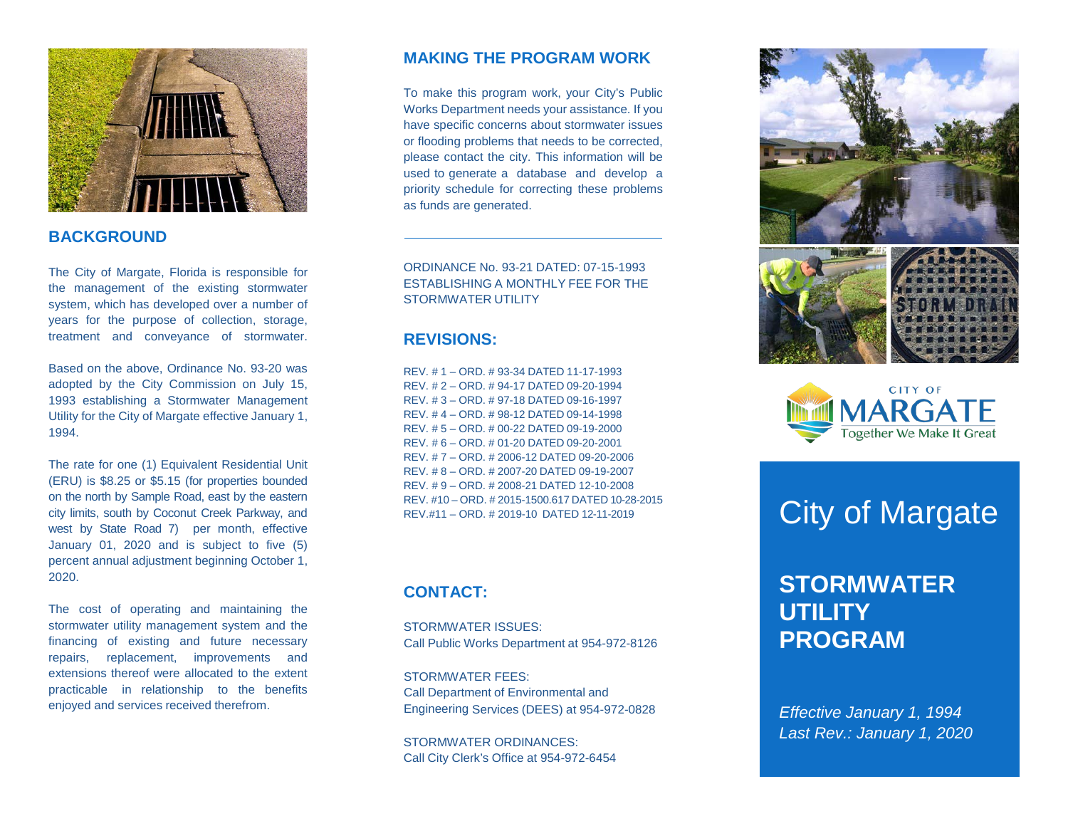

# **BACKGROUND**

The City of Margate, Florida is responsible for the management of the existing stormwater system, which has developed over a number of years for the purpose of collection, storage, treatment and conveyance of stormwater.

Based on the above, Ordinance No. 93-20 was adopted by the City Commission on July 15, 1993 establishing a Stormwater Management Utility for the City of Margate effective January 1, 1994.

The rate for one (1) Equivalent Residential Unit (ERU) is \$8.25 or \$5.15 (for properties bounded on the north by Sample Road, east by the eastern city limits, south by Coconut Creek Parkway, and west by State Road 7) per month, effective January 01, 2020 and is subject to five (5) percent annual adjustment beginning October 1, 2020.

The cost of operating and maintaining the stormwater utility management system and the financing of existing and future necessary repairs, replacement, improvements and extensions thereof were allocated to the extent practicable in relationship to the benefits enjoyed and services received therefrom.

#### **MAKING THE PROGRAM WORK**

To make this program work, your City's Public Works Department needs your assistance. If you have specific concerns about stormwater issues or flooding problems that needs to be corrected, please contact the city. This information will be used to generate a database and develop a priority schedule for correcting these problems as funds are generated.

ORDINANCE No. 93-21 DATED: 07-15-1993 ESTABLISHING A MONTHLY FEE FOR THE STORMWATER UTILITY

#### **REVISIONS:**

REV. # 1 – ORD. # 93-34 DATED 11-17-1993 REV. # 2 – ORD. # 94-17 DATED 09-20-1994 REV. # 3 – ORD. # 97-18 DATED 09-16-1997 REV. # 4 – ORD. # 98-12 DATED 09-14-1998 REV. # 5 – ORD. # 00-22 DATED 09-19-2000 REV. # 6 – ORD. # 01-20 DATED 09-20-2001 REV. # 7 – ORD. # 2006-12 DATED 09-20-2006 REV. # 8 – ORD. # 2007-20 DATED 09-19-2007 REV. # 9 – ORD. # 2008-21 DATED 12-10-2008 REV. #10 – ORD. # 2015-1500.617 DATED 10-28-2015 REV.#11 – ORD. # 2019-10 DATED 12-11-2019

## **CONTACT:**

STORMWATER ISSUES: Call Public Works Department at 954-972-8126

STORMWATER FEES: Call Department of Environmental and Engineering Services (DEES) at 954-972-0828

STORMWATER ORDINANCES: Call City Clerk's Office at 954-972-6454





# City of Margate

# **STORMWATER UTILITY PROGRAM**

*Effective January 1, 1994 Last Rev.: January 1, 2020*